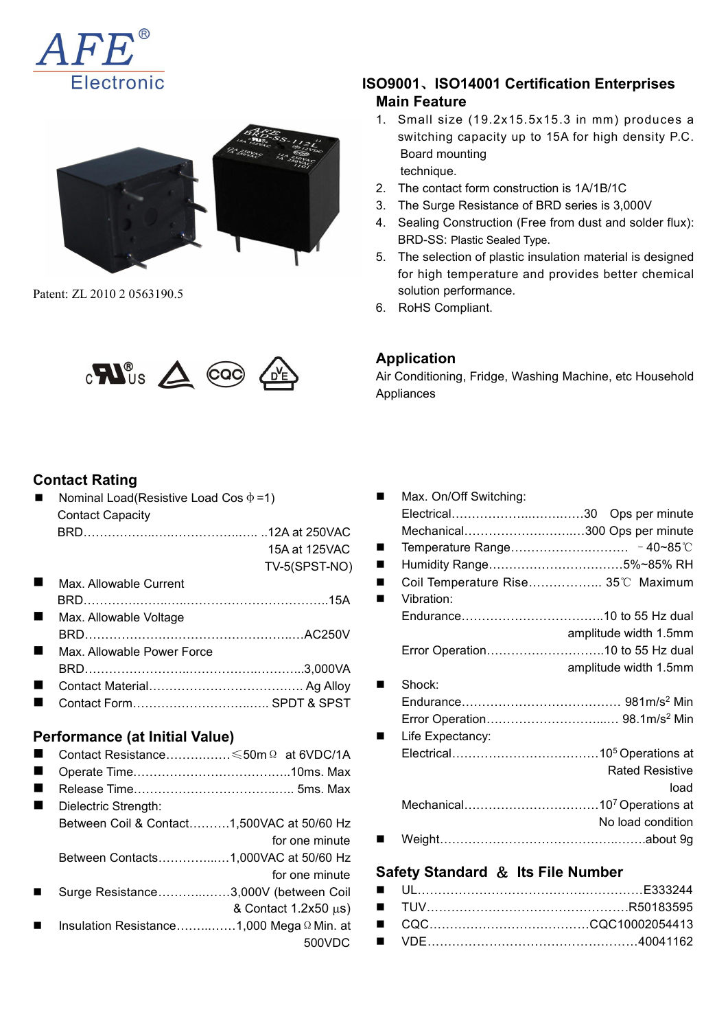



Patent: ZL 2010 2 0563190.5



#### **Contact Rating**

Nominal Load(Resistive Load Cos  $\phi = 1$ ) Contact Capacity

|                            |               |                                   | Mechanical           |
|----------------------------|---------------|-----------------------------------|----------------------|
|                            | 15A at 125VAC | <b>Contract Contract Contract</b> | Temperature Range    |
|                            | TV-5(SPST-NO) | <b>Contract Contract</b>          | Humidity Range       |
| Max. Allowable Current     |               |                                   | Coil Temperature Ris |
|                            |               |                                   | Vibration:           |
| Max. Allowable Voltage     |               |                                   | Endurance            |
|                            |               |                                   |                      |
| Max. Allowable Power Force |               |                                   | Error Operation      |

- BRD……………………..……………..………...3,000VA
- Contact Material…………………………….…. Ag Alloy
- Contact Form………………………..….. SPDT & SPST

#### **Performance (at Initial Value)**

- Contact Resistance……….……≤50mΩ at 6VDC/1A ■ Operate Time…………………………………………10ms. Max
- Release Time……………………………..….. 5ms. Max
- Dielectric Strength:
- Between Coil & Contact……….1,500VAC at 50/60 Hz for one minute Between Contacts…………...…1,000VAC at 50/60 Hz Surge Resistance………...……3,000V (between Coil
	- & Contact  $1.2x50 \mu s$ )
- Insulation Resistance……...……1,000 MegaΩMin. at 500VDC

## **ISO9001**、**ISO14001 Certification Enterprises Main Feature**

- 1. Small size (19.2x15.5x15.3 in mm) produces a switching capacity up to 15A for high density P.C. Board mounting technique.
- 2. The contact form construction is 1A/1B/1C
- 3. The Surge Resistance of BRD series is 3,000V
- 4. Sealing Construction (Free from dust and solder flux): BRD-SS: Plastic Sealed Type.
- 5. The selection of plastic insulation material is designed for high temperature and provides better chemical solution performance.
- 6. RoHS Compliant.

| $\left  \right.$       | Max. On/Off Switching:                               |
|------------------------|------------------------------------------------------|
|                        |                                                      |
| 12A at 250VAC          | Mechanical300 Ops per minute                         |
| 15A at 125VAC          | $\blacksquare$                                       |
| TV-5(SPST-NO)          | ш                                                    |
|                        | Coil Temperature Rise 35°C Maximum<br>$\blacksquare$ |
| . 15A                  | Vibration:                                           |
|                        |                                                      |
| AC250V                 | amplitude width 1.5mm                                |
|                        |                                                      |
| 3,000VA                | amplitude width 1.5mm                                |
| $\ldots$ Ag Alloy      | Shock:<br>$\blacksquare$                             |
| <b>SPDT &amp; SPST</b> |                                                      |
|                        |                                                      |
|                        | Life Expectancy:<br>$\blacksquare$                   |
| $\Omega$ at 6VDC/1A    |                                                      |
|                        | <b>Rated Resistive</b>                               |
| 10ms. Max              |                                                      |
| 5ms. Max               | load                                                 |
|                        |                                                      |
| AC at 50/60 Hz         | No load condition                                    |
| for one minute         |                                                      |
| AC at 50/60 Hz         |                                                      |

## for one minute **Safety Standard** & **Its File Number**

# **Application**

Air Conditioning, Fridge, Washing Machine, etc Household Appliances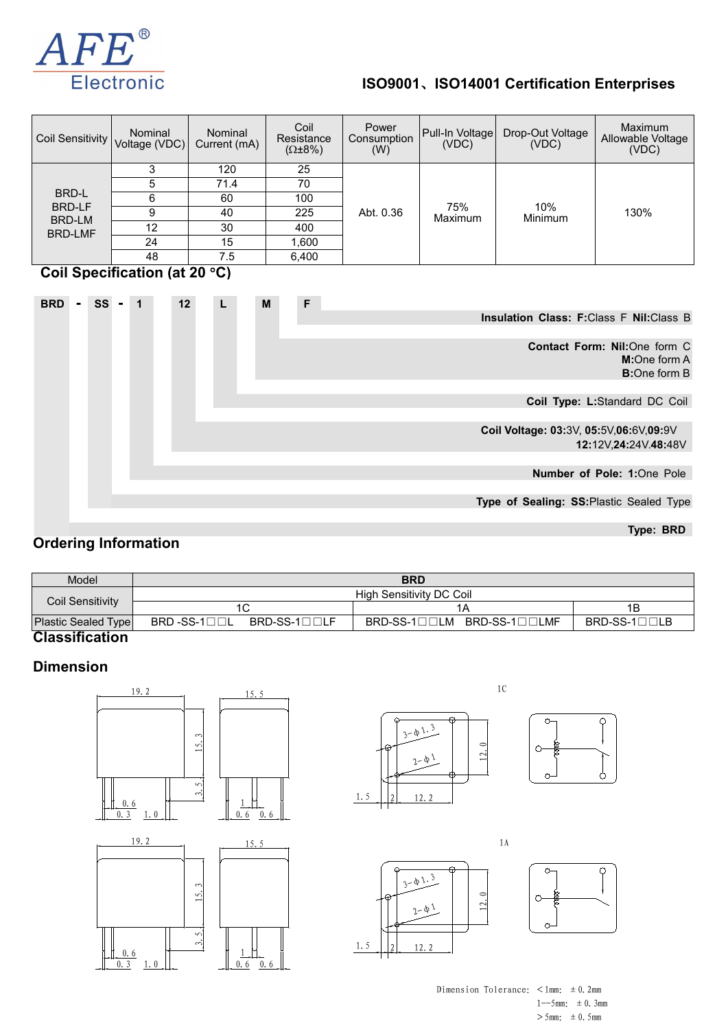

## **ISO9001**、**ISO14001 Certification Enterprises**

| Coil Sensitivity                                                                                 | Nominal<br>Voltage (VDC) | Nominal<br>Current (mA) | Coil<br>Resistance<br>$(\Omega \pm 8\%)$ | Power<br>Consumption<br>(W) | Pull-In Voltage<br>(VDC) | Drop-Out Voltage<br>(VDC) | <b>Maximum</b><br>Allowable Voltage<br>(VDC) |  |  |
|--------------------------------------------------------------------------------------------------|--------------------------|-------------------------|------------------------------------------|-----------------------------|--------------------------|---------------------------|----------------------------------------------|--|--|
|                                                                                                  | 3                        | 120                     | 25                                       | 75%<br>Abt. 0.36<br>Maximum |                          |                           |                                              |  |  |
|                                                                                                  | 5                        | 71.4                    | 70                                       |                             |                          |                           |                                              |  |  |
| BRD-L                                                                                            | 6                        | 60                      | 100                                      |                             |                          |                           |                                              |  |  |
| <b>BRD-LF</b><br>BRD-LM                                                                          | 9                        | 40                      | 225                                      |                             |                          | 10%<br>Minimum            | 130%                                         |  |  |
| <b>BRD-LMF</b>                                                                                   | 12                       | 30                      | 400                                      |                             |                          |                           |                                              |  |  |
|                                                                                                  | 24                       | 15                      | 1,600                                    |                             |                          |                           |                                              |  |  |
|                                                                                                  | 48                       | 7.5                     | 6,400                                    |                             |                          |                           |                                              |  |  |
| Coil Specification (at 20 °C)<br>F<br>SS<br>M<br><b>BRD</b><br>12<br>$-1$<br>L<br>$\blacksquare$ |                          |                         |                                          |                             |                          |                           |                                              |  |  |
|                                                                                                  |                          |                         |                                          |                             |                          |                           | Insulation Class: F:Class F Nil:Class B      |  |  |
|                                                                                                  |                          |                         |                                          |                             |                          |                           |                                              |  |  |
|                                                                                                  |                          |                         |                                          |                             |                          |                           | <b>Contact Form: Nil:</b> One form C         |  |  |
|                                                                                                  |                          |                         |                                          | <b>M:</b> One form A        |                          |                           |                                              |  |  |
|                                                                                                  |                          |                         |                                          |                             |                          |                           | <b>B:</b> One form B                         |  |  |
|                                                                                                  |                          |                         |                                          |                             |                          |                           |                                              |  |  |

**Coil Type: L:**Standard DC Coil

**Coil Voltage: 03:**3V, **05:**5V,**06:**6V,**09:**9V **12:**12V,**24:**24V.**48:**48V

**Number of Pole: 1:**One Pole

**Type of Sealing: SS:**Plastic Sealed Type

**Type: BRD**

#### **Ordering Information**

| Model                   | <b>BRD</b>                                                                                  |                            |                               |  |  |  |  |
|-------------------------|---------------------------------------------------------------------------------------------|----------------------------|-------------------------------|--|--|--|--|
|                         | High Sensitivity DC Coil                                                                    |                            |                               |  |  |  |  |
| <b>Coil Sensitivity</b> | 1C                                                                                          | 1А                         | 1Β                            |  |  |  |  |
| Plastic Sealed Type     | $\mathsf{BRD}\text{-}\mathsf{SS}\text{-}\mathsf{1}\square\square\mathsf{L}$<br>BRD-SS-1□□LF | BRD-SS-1□□LM BRD-SS-1□□LMF | $BRD-SS-1 \square \square LB$ |  |  |  |  |
| <b>Classification</b>   |                                                                                             |                            |                               |  |  |  |  |

#### **Dimension**



 $\frac{1}{2}$   $\circ$   $\frac{2}{5}$   $\circ$   $\frac{2}{5}$   $\circ$   $\frac{2}{5}$   $\circ$   $\frac{2}{5}$   $\circ$   $\frac{2}{5}$   $\circ$   $\frac{2}{5}$   $\circ$   $\frac{2}{5}$   $\circ$   $\frac{2}{5}$   $\circ$   $\frac{2}{5}$   $\circ$   $\frac{2}{5}$   $\circ$   $\frac{2}{5}$   $\circ$   $\frac{2}{5}$   $\circ$   $\frac{2}{5}$   $\circ$   $\frac{2}{5}$ 

 $\circ$  $\bigcap$  $\frac{1}{2}$   $\frac{1}{2}$   $\frac{1}{2}$   $\frac{1}{2}$   $\frac{1}{2}$   $\frac{1}{2}$   $\frac{1}{2}$   $\frac{1}{2}$   $\frac{1}{2}$   $\frac{1}{2}$   $\frac{1}{2}$   $\frac{1}{2}$   $\frac{1}{2}$   $\frac{1}{2}$   $\frac{1}{2}$   $\frac{1}{2}$   $\frac{1}{2}$   $\frac{1}{2}$   $\frac{1}{2}$   $\frac{1}{2}$   $\frac{1}{2}$   $\frac{1}{2}$ 

Dimension Tolerance: <1mm:  $\pm$  0.2mm  $1--5$ mm:  $\pm 0.3$ mm  $>5$ mm:  $\pm 0.5$ mm